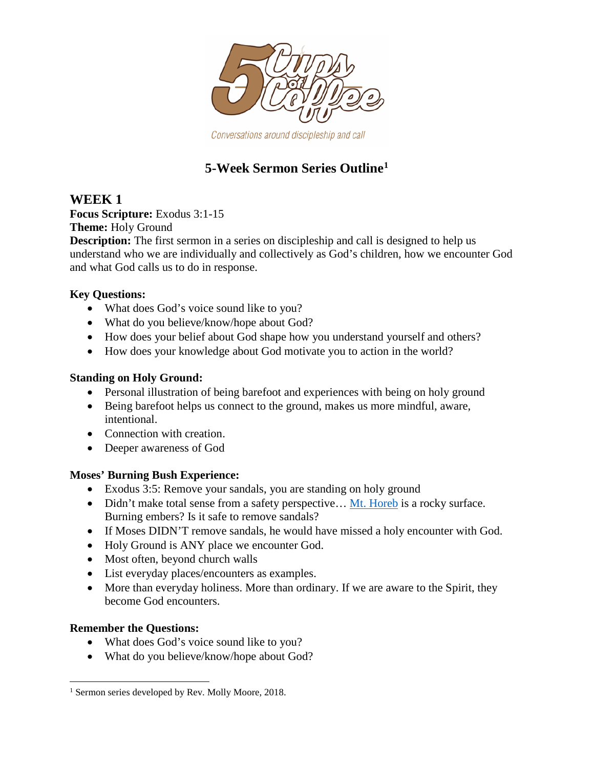

Conversations around discipleship and call

# **5-Week Sermon Series Outline[1](#page-0-0)**

# **WEEK 1**

**Focus Scripture:** Exodus 3:1-15

**Theme:** Holy Ground

**Description:** The first sermon in a series on discipleship and call is designed to help us understand who we are individually and collectively as God's children, how we encounter God and what God calls us to do in response.

### **Key Questions:**

- What does God's voice sound like to you?
- What do you believe/know/hope about God?
- How does your belief about God shape how you understand yourself and others?
- How does your knowledge about God motivate you to action in the world?

### **Standing on Holy Ground:**

- Personal illustration of being barefoot and experiences with being on holy ground
- Being barefoot helps us connect to the ground, makes us more mindful, aware, intentional.
- Connection with creation.
- Deeper awareness of God

### **Moses' Burning Bush Experience:**

- Exodus 3:5: Remove your sandals, you are standing on holy ground
- Didn't make total sense from a safety perspective... Mt. [Horeb](https://en.wikipedia.org/wiki/Mount_Horeb) is a rocky surface. Burning embers? Is it safe to remove sandals?
- If Moses DIDN'T remove sandals, he would have missed a holy encounter with God.
- Holy Ground is ANY place we encounter God.
- Most often, beyond church walls
- List everyday places/encounters as examples.
- More than everyday holiness. More than ordinary. If we are aware to the Spirit, they become God encounters.

### **Remember the Questions:**

- What does God's voice sound like to you?
- What do you believe/know/hope about God?

<span id="page-0-0"></span>l <sup>1</sup> Sermon series developed by Rev. Molly Moore, 2018.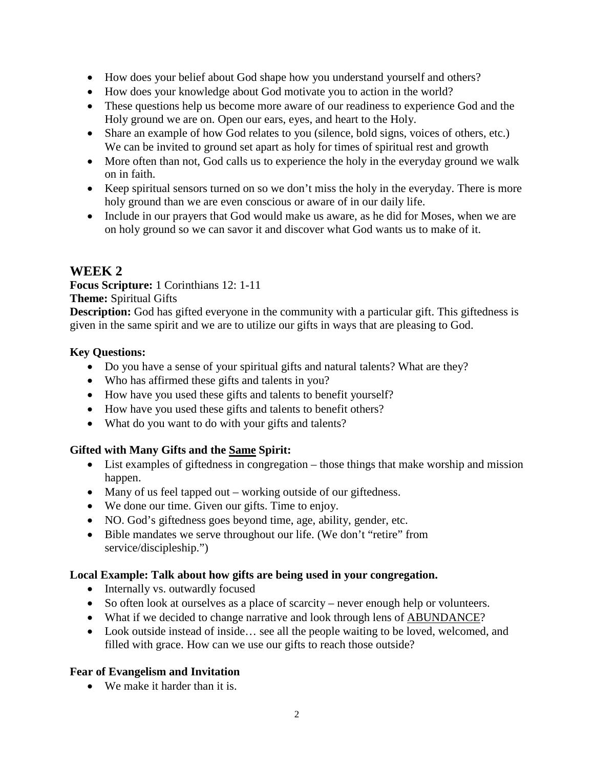- How does your belief about God shape how you understand yourself and others?
- How does your knowledge about God motivate you to action in the world?
- These questions help us become more aware of our readiness to experience God and the Holy ground we are on. Open our ears, eyes, and heart to the Holy.
- Share an example of how God relates to you (silence, bold signs, voices of others, etc.) We can be invited to ground set apart as holy for times of spiritual rest and growth
- More often than not, God calls us to experience the holy in the everyday ground we walk on in faith.
- Keep spiritual sensors turned on so we don't miss the holy in the everyday. There is more holy ground than we are even conscious or aware of in our daily life.
- Include in our prayers that God would make us aware, as he did for Moses, when we are on holy ground so we can savor it and discover what God wants us to make of it.

# **WEEK 2**

**Focus Scripture:** 1 Corinthians 12: 1-11 **Theme:** Spiritual Gifts

**Description:** God has gifted everyone in the community with a particular gift. This giftedness is given in the same spirit and we are to utilize our gifts in ways that are pleasing to God.

### **Key Questions:**

- Do you have a sense of your spiritual gifts and natural talents? What are they?
- Who has affirmed these gifts and talents in you?
- How have you used these gifts and talents to benefit yourself?
- How have you used these gifts and talents to benefit others?
- What do you want to do with your gifts and talents?

### **Gifted with Many Gifts and the Same Spirit:**

- List examples of giftedness in congregation those things that make worship and mission happen.
- Many of us feel tapped out working outside of our giftedness.
- We done our time. Given our gifts. Time to enjoy.
- NO. God's giftedness goes beyond time, age, ability, gender, etc.
- Bible mandates we serve throughout our life. (We don't "retire" from service/discipleship.")

### **Local Example: Talk about how gifts are being used in your congregation.**

- Internally vs. outwardly focused
- So often look at ourselves as a place of scarcity never enough help or volunteers.
- What if we decided to change narrative and look through lens of ABUNDANCE?
- Look outside instead of inside... see all the people waiting to be loved, welcomed, and filled with grace. How can we use our gifts to reach those outside?

### **Fear of Evangelism and Invitation**

• We make it harder than it is.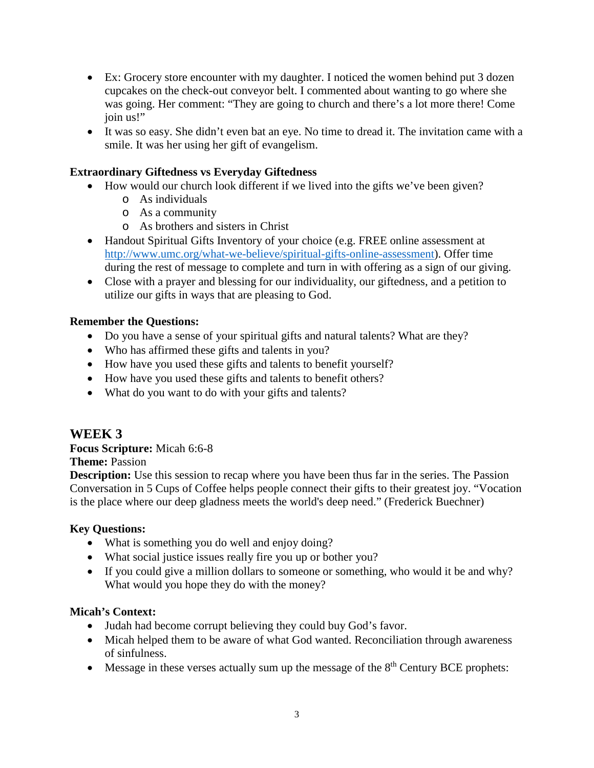- Ex: Grocery store encounter with my daughter. I noticed the women behind put 3 dozen cupcakes on the check-out conveyor belt. I commented about wanting to go where she was going. Her comment: "They are going to church and there's a lot more there! Come join us!"
- It was so easy. She didn't even bat an eye. No time to dread it. The invitation came with a smile. It was her using her gift of evangelism.

### **Extraordinary Giftedness vs Everyday Giftedness**

- How would our church look different if we lived into the gifts we've been given?
	- o As individuals
	- o As a community
	- o As brothers and sisters in Christ
- Handout Spiritual Gifts Inventory of your choice (e.g. FREE online assessment at [http://www.umc.org/what-we-believe/spiritual-gifts-online-assessment\)](http://www.umc.org/what-we-believe/spiritual-gifts-online-assessment). Offer time during the rest of message to complete and turn in with offering as a sign of our giving.
- Close with a prayer and blessing for our individuality, our giftedness, and a petition to utilize our gifts in ways that are pleasing to God.

### **Remember the Questions:**

- Do you have a sense of your spiritual gifts and natural talents? What are they?
- Who has affirmed these gifts and talents in you?
- How have you used these gifts and talents to benefit yourself?
- How have you used these gifts and talents to benefit others?
- What do you want to do with your gifts and talents?

# **WEEK 3**

**Focus Scripture:** Micah 6:6-8

### **Theme:** Passion

**Description:** Use this session to recap where you have been thus far in the series. The Passion Conversation in 5 Cups of Coffee helps people connect their gifts to their greatest joy. "Vocation is the place where our deep gladness meets the world's deep need." (Frederick Buechner)

### **Key Questions:**

- What is something you do well and enjoy doing?
- What social justice issues really fire you up or bother you?
- If you could give a million dollars to someone or something, who would it be and why? What would you hope they do with the money?

### **Micah's Context:**

- Judah had become corrupt believing they could buy God's favor.
- Micah helped them to be aware of what God wanted. Reconciliation through awareness of sinfulness.
- Message in these verses actually sum up the message of the  $8<sup>th</sup>$  Century BCE prophets: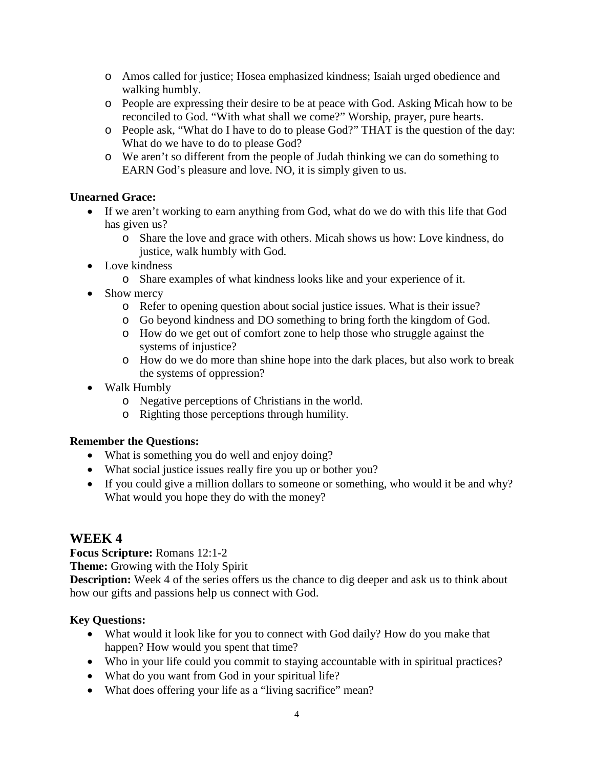- o Amos called for justice; Hosea emphasized kindness; Isaiah urged obedience and walking humbly.
- o People are expressing their desire to be at peace with God. Asking Micah how to be reconciled to God. "With what shall we come?" Worship, prayer, pure hearts.
- o People ask, "What do I have to do to please God?" THAT is the question of the day: What do we have to do to please God?
- o We aren't so different from the people of Judah thinking we can do something to EARN God's pleasure and love. NO, it is simply given to us.

### **Unearned Grace:**

- If we aren't working to earn anything from God, what do we do with this life that God has given us?
	- o Share the love and grace with others. Micah shows us how: Love kindness, do justice, walk humbly with God.
- Love kindness
	- o Share examples of what kindness looks like and your experience of it.
- Show mercy
	- o Refer to opening question about social justice issues. What is their issue?
	- o Go beyond kindness and DO something to bring forth the kingdom of God.
	- o How do we get out of comfort zone to help those who struggle against the systems of injustice?
	- o How do we do more than shine hope into the dark places, but also work to break the systems of oppression?
- Walk Humbly
	- o Negative perceptions of Christians in the world.
	- o Righting those perceptions through humility.

### **Remember the Questions:**

- What is something you do well and enjoy doing?
- What social justice issues really fire you up or bother you?
- If you could give a million dollars to someone or something, who would it be and why? What would you hope they do with the money?

# **WEEK 4**

**Focus Scripture:** Romans 12:1-2

**Theme:** Growing with the Holy Spirit

**Description:** Week 4 of the series offers us the chance to dig deeper and ask us to think about how our gifts and passions help us connect with God.

### **Key Questions:**

- What would it look like for you to connect with God daily? How do you make that happen? How would you spent that time?
- Who in your life could you commit to staying accountable with in spiritual practices?
- What do you want from God in your spiritual life?
- What does offering your life as a "living sacrifice" mean?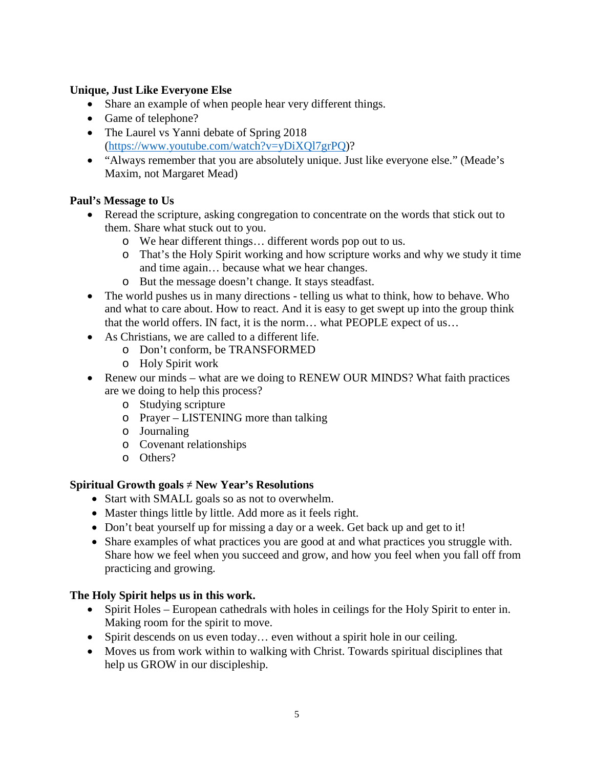### **Unique, Just Like Everyone Else**

- Share an example of when people hear very different things.
- Game of telephone?
- The Laurel vs Yanni debate of Spring 2018 [\(https://www.youtube.com/watch?v=yDiXQl7grPQ\)](https://www.youtube.com/watch?v=yDiXQl7grPQ)?
- "Always remember that you are absolutely unique. Just like everyone else." (Meade's Maxim, not Margaret Mead)

### **Paul's Message to Us**

- Reread the scripture, asking congregation to concentrate on the words that stick out to them. Share what stuck out to you.
	- o We hear different things… different words pop out to us.
	- o That's the Holy Spirit working and how scripture works and why we study it time and time again… because what we hear changes.
	- o But the message doesn't change. It stays steadfast.
- The world pushes us in many directions telling us what to think, how to behave. Who and what to care about. How to react. And it is easy to get swept up into the group think that the world offers. IN fact, it is the norm… what PEOPLE expect of us…
- As Christians, we are called to a different life.
	- o Don't conform, be TRANSFORMED
	- o Holy Spirit work
- Renew our minds what are we doing to RENEW OUR MINDS? What faith practices are we doing to help this process?
	- o Studying scripture
	- o Prayer LISTENING more than talking
	- o Journaling
	- o Covenant relationships
	- o Others?

### **Spiritual Growth goals** ≠ **New Year's Resolutions**

- Start with SMALL goals so as not to overwhelm.
- Master things little by little. Add more as it feels right.
- Don't beat yourself up for missing a day or a week. Get back up and get to it!
- Share examples of what practices you are good at and what practices you struggle with. Share how we feel when you succeed and grow, and how you feel when you fall off from practicing and growing.

### **The Holy Spirit helps us in this work.**

- Spirit Holes European cathedrals with holes in ceilings for the Holy Spirit to enter in. Making room for the spirit to move.
- Spirit descends on us even today... even without a spirit hole in our ceiling.
- Moves us from work within to walking with Christ. Towards spiritual disciplines that help us GROW in our discipleship.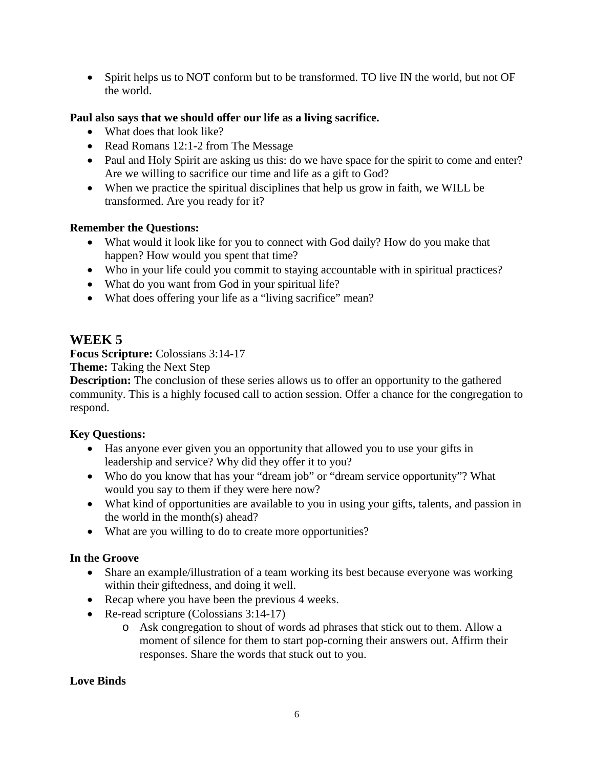• Spirit helps us to NOT conform but to be transformed. TO live IN the world, but not OF the world.

### **Paul also says that we should offer our life as a living sacrifice.**

- What does that look like?
- Read Romans 12:1-2 from The Message
- Paul and Holy Spirit are asking us this: do we have space for the spirit to come and enter? Are we willing to sacrifice our time and life as a gift to God?
- When we practice the spiritual disciplines that help us grow in faith, we WILL be transformed. Are you ready for it?

### **Remember the Questions:**

- What would it look like for you to connect with God daily? How do you make that happen? How would you spent that time?
- Who in your life could you commit to staying accountable with in spiritual practices?
- What do you want from God in your spiritual life?
- What does offering your life as a "living sacrifice" mean?

### **WEEK 5**

**Focus Scripture:** Colossians 3:14-17

**Theme:** Taking the Next Step

**Description:** The conclusion of these series allows us to offer an opportunity to the gathered community. This is a highly focused call to action session. Offer a chance for the congregation to respond.

### **Key Questions:**

- Has anyone ever given you an opportunity that allowed you to use your gifts in leadership and service? Why did they offer it to you?
- Who do you know that has your "dream job" or "dream service opportunity"? What would you say to them if they were here now?
- What kind of opportunities are available to you in using your gifts, talents, and passion in the world in the month(s) ahead?
- What are you willing to do to create more opportunities?

### **In the Groove**

- Share an example/illustration of a team working its best because everyone was working within their giftedness, and doing it well.
- Recap where you have been the previous 4 weeks.
- Re-read scripture (Colossians 3:14-17)
	- o Ask congregation to shout of words ad phrases that stick out to them. Allow a moment of silence for them to start pop-corning their answers out. Affirm their responses. Share the words that stuck out to you.

### **Love Binds**